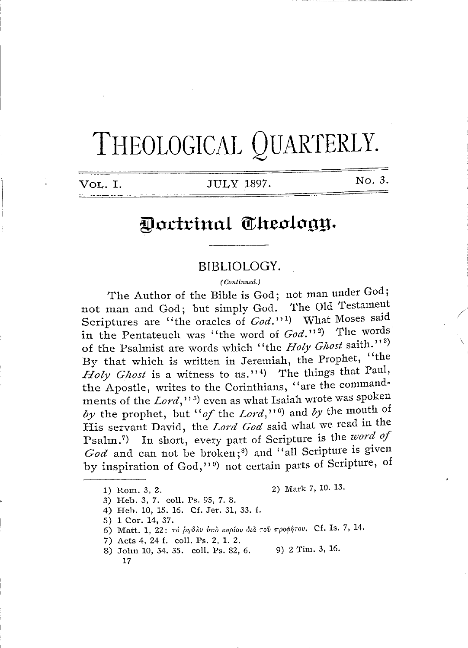# THEOLOGICAL QUARTERLY.

**VOL.** I. JULY 1897.

No. 3.

/

# Doctrinal Theology.

## **BIBLIOLOGY.**

#### *( Continued.)*

The Author of the Bible is God; not man under God; not man and God; but simply God. The Old Testament Scriptures are "the oracles of *God.*"<sup>1</sup>) What Moses said in the Pentateuch was "the word of  $God.^{12}$ ) The words of the Psalmist are words which "the *Holy Ghost* saith."<sup>3</sup> By that which is written in Jeremiah, the Prophet, "the *Holy Ghost* is a witness to us.'<sup>1</sup> The things that Paul, the Apostle, writes to the Corinthians, ''are the commandments of the *Lord*,"<sup>5</sup>) even as what Isaiah wrote was spoken ments of the *Lord*,"<sup>5</sup>) even as what Isaiah wrote was spoken<br>by the prophet, but "of the *Lord*,"<sup>6</sup>) and by the mouth of His servant David, the *Lord God* said what we read in the His servant David, the *Lord God* said what we read in the Psalm.<sup>7</sup>) In short, every part of Scripture is the *word of*  $God$  and can not be broken;<sup>8</sup>) and "all Scripture is given by inspiration of God,"<sup>9</sup>) not certain parts of Scripture, of

1) Rom. 3, 2. 2) Mark 7, 10. 13.

- 3) Heb. 3, 7. coll. Ps. 95, 7. 8.
- 4) Heb. 10, 15. 16. Cf. Jer. 31, 33. f.
- 5) 1 Cor. 14, 37.
- 6) Matt. 1, 22: τό *ρηθεν υπο κυρίου δια του προφήτου*. Cf. Is. 7, 14.
- 7) Acts 4, 24 f. coll. Ps. 2, 1. 2.
- 8) John 10, 34. 35. coll. Ps. 82, 6. 9) 2 Tim. 3, 16. 17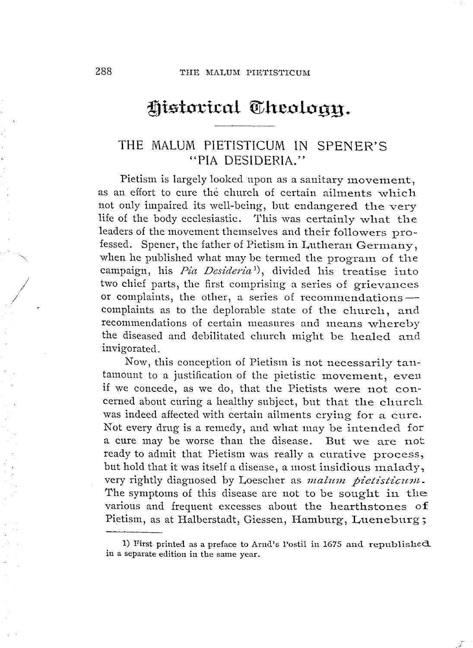# Historical Cheology.

## THE MALUM PIETISTICUM IN SPENER'S "PIA DESIDERIA."

Pietism is largely looked upon as a sanitary movement, as an effort to cure the church of certain aihnents which not only impaired its well-being, but endangered the very life of the body ecclesiastic. This was certainly what the leaders of the movement themselves and their followers professed. Spener, the father of Pietism in Lutheran Germany, when he published what may be termed the program. of the when he published what may be termed the program of the<br>campaign, his *Pia Desideria*<sup>1</sup>), divided his treatise into eampaign, ms *Pia Desideria*<sup>-1</sup>, divided ins treatise into<br>two chief parts, the first comprising a series of grievances<br>or complaints, the other, a series of recommendations —<br>complaints as to the deplerable at the other or complaints, the other, a series of recommendations —<br>complaints as to the deplorable state of the church, and recommendations of certain measures and means whereby the diseased and debilitated church might be healed and invigorated.

Now, this conception of Pietism is not necessarily tantamount to a justification of the pietistic movement, even if we concede, as we do, that the Pietists were not concerned about curing a healthy subject, but that the church was indeed affected with certain ailments crying for a cure. Not every drug is a remedy, and what may be intended for a cure may be worse than the disease. But we are not ready to admit that Pietism was really a curative process, but hold that it was itself a disease, a most insidious malady, very rightly diagnosed by Loescher as *malum pietisticum*. The symptoms of this disease are not to be sought in the various and frequent excesses about the hearthstones of Pietism, as at Halberstadt, Giessen, Hamburg, Lueneburg;

*I /* 

<sup>1)</sup> First printed as a preface to Arnd's Postil in 1675 and republished in a separate edition in the same year.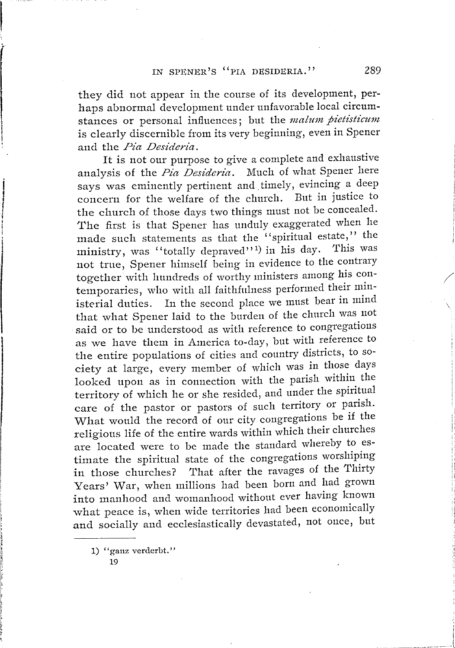they did not appear in the course of its development, perhaps abnormal development under unfavorable local circumstances or personal influences; but the *malum pietisticum* is clearly discernible from its very beginning, even in Spener and the *Pia Desideria.* 

It is not our purpose to give a complete and exhaustive analysis of the *Pia Desideria.* Much of what Spener here says was eminently pertinent and timely, evincing a deep concern for the welfare of the church. But in justice to the church of those days two things must not be concealed. The first is that Spener has unduly exaggerated when he made such statements as that the ''spiritual estate,'' the ministry, was "totally depraved"<sup>1</sup>) in his day. This was not true, Spener himself being in evidence to the contrary together with hundreds of worthy ministers among his contemporaries, who with all faithfulness performed their ministerial duties. In the second place we must bear in mind that what Spener laid to the burden of the church was not said or to be understood as with reference to congregations as we have them in America to-day, but with reference to the entire populations of cities and country districts, to society at large, every member of which was in those days looked upon as in connection with the parish within the territory of which he or she resided, and under the spiritual care of the pastor or pastors of such territory or parish. What would the record of our city congregations be if the religious life of the entire wards within which their churches are located were to be made the standard whereby to estimate the spiritual state of the congregations worshiping in those churches? That after the ravages of the Thirty Years' War, when millions had been born and had grown into manhood and womanhood without ever having known what peace is, when wide territories had been economically and socially and ecclesiastically devastated, not once, but

1) '' ganz verderbt, ''

19

*I*  ' i j

/

ii 1" : [, if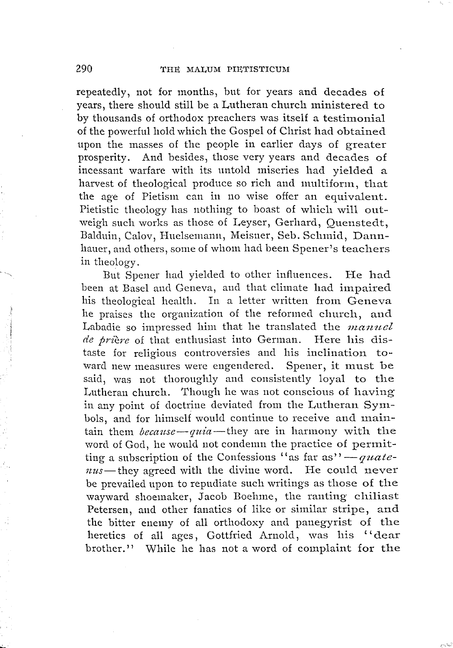repeatedly, not for months, but for years and decades of years, there should still be a Lutheran church ministered to by thousands of orthodox preachers was itself a testimonial of the powerful hold which the Gospel of Christ had obtained upon the masses of the people in earlier days of greater prosperity. And besides, those very years and decades of incessant warfare with its untold miseries had yielded a harvest of theological produce so rich and multiform, that the age of Pietism can in no wise offer an equivalent. Pietistic theology has nothing to boast of which will outweigh such works as those of Leyser, Gerhard, Ouenstedt, Balduin, Calov, Huelsemann, Meisner, Seb. Schmid, Dannhauer, and others, some of whom had been Spener's teachers in theology.

But Spener had yielded to other influences. He had been at Basel and Geneva, and that climate had impaired his theological health. In a letter written from Geneva he praises the organization of the reformed church, and Labadie so impressed him that he translated the *manuel de priere* of that enthusiast into German. Here his distaste for religious controversies and his inclination toward new measures were engendered. Spener, it must be said, was not thoroughly and consistently loyal to the Lutheran church. Though he was not conscious of having in any point of doctrine deviated from the Lutheran Symbols, and for himself would continue to receive and main-tain them *because-quia-they* are in harmony with the tain them *because—quia*—they are in harmony with the<br>word of God, he would not condemn the practice of permitword of God, he would not condemn the practice of permitting a subscription of the Confessions "as far as"<sup>'</sup> - *quate*word of God, he would not condenin the practice of permit-<br>ting a subscription of the Confessions "as far as" — quate-<br>nus-they agreed with the divine word. He could never  $nus$ —they agreed with the divine word. He could never<br>be prevailed upon to repudiate such writings as those of the wayward shoemaker, Jacob Boehme, the ranting chiliast Petersen, and other fanatics of like or similar stripe, and the bitter enemy of all orthodoxy and panegyrist of the heretics of all ages, Gottfried Arnold, was his "dear brother." While he has not a word of complaint for the

 $\sim$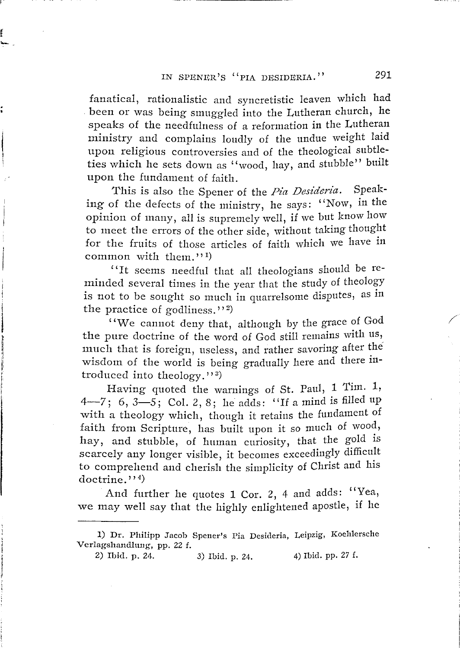r

fanatical, rationalistic and syncretistic leaven which had been or was being smuggled into the Lutheran church, he speaks of the needfulness of a reformation in the Lutheran ministry and complains loudly of the undue weight laid upon religious controversies and of the theological subtleties which he sets down as "wood, hay, and stubble" built upon the fundament of faith.

This is also the Spener of the *Pia Desideria.* Speaking of the defects of the ministry, he says: "Now, in the opinion of many, all is supremely well, if we but know how to meet the errors of the other side, without taking thought for the fruits of those articles of faith which we have in common with them." $^{1}$ 

' 'It seems needful that all theologians should be reminded several times in the year that the study of theology is not to be sought so much in quarrelsome disputes, as in the practice of godliness." $^{(2)}$ 

''We cannot deny that, although by the grace of God the pure doctrine of the word of God still remains with us, much that is foreign, useless, and rather savoring after the wisdom of the world is being gradually here and there introduced into theology." $^{3}$ )

Having quoted the warnings of St. Paul, 1 Tim. 1, 4-7; 6, 3-5; Col. 2, 8; he adds: "If a mind is filled up with a theology which, though it retains the fundament of faith from Scripture, has built upon it so much of wood, hay, and stubble, of human curiosity, that the gold is scarcely any longer visible, it becomes exceedingly difficult to comprehend and cherish the simplicity of Christ and his  $dot$ rine.'' $^{4}$ 

And further he quotes 1 Cor. 2, 4 and adds: "Yea, we may well say that the highly enlightened apostle, if he

/

<sup>1)</sup> Dr. Philipp Jacob Spener's Pia Desideria, Leipzig, Koehlersche Verlagshandlung, pp. 22 f.

<sup>2)</sup> Ibid. p. 24. 3) Ibid. p. 24. 4) Ibid. pp. 27 f.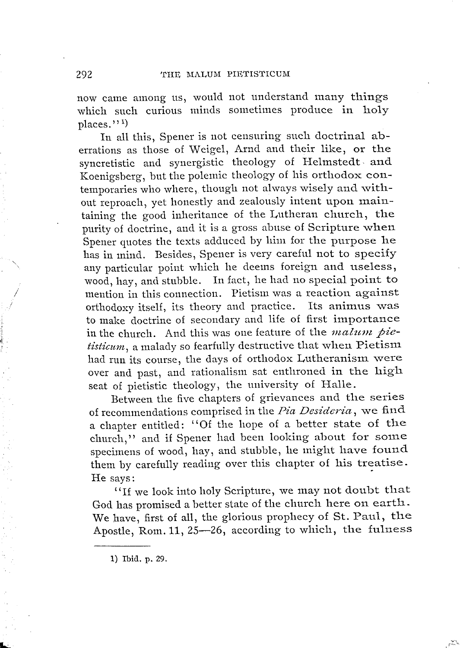now came among us, would not understand many things which such curious minds sometimes produce in holy places."<sup>1</sup>)

In all this, Spener is not censuring such doctrinal aberrations as those of Weigel, Arnd and their like, or the syncretistic and synergistic theology of Helmstedt. and Koenigsberg, but the polemic theology of his orthodox contemporaries who where, though not always wisely and without reproach, yet honestly and zealously intent upon maintaining the good inheritance of the Lutheran church, the purity of doctrine, and it is a gross abuse of Scripture when Spener quotes the texts adduced by him for the purpose he has in mind. Besides, Spener is very careful not to specify any particular point which he deems foreign and useless, wood, hay, and stubble. In fact, he had no special point to mention in this connection. Pietism was a reaction against orthodoxy itself, its theory and practice. Its animus was to make doctrine of secondary and life of first importance in the church. And this was one feature of the *malum pie*tisticum, a malady so fearfully destructive that when Pietism had run its course, the days of orthodox Lutheranism were over and past, and rationalism sat enthroned in the high seat of pietistic theology, the university of Halle.

Between the five chapters of grievances and the series of recommendations comprised in the *Pia Desideria,* we find a chapter entitled: "Of the hope of a better state of the church," and if Spener had been looking about for some specimens of wood, hay, and stubble, he might have found them by carefully reading over this chapter of his treatise. He says:

"If we look into holy Scripture, we may not doubt that God has promised a better state of the church here on earth. We have, first of all, the glorious prophecy of St. Paul, the Apostle, Rom. 11, 25-26, according to which, the fulness

*I* 

I..:.

<sup>1)</sup> Ibid. p. 29.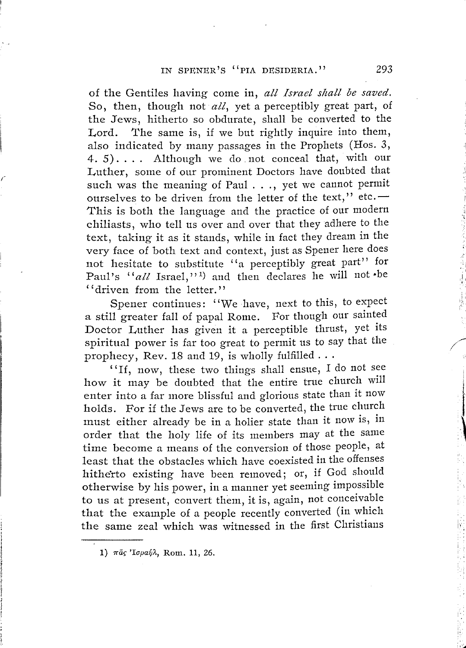of the Gentiles having come in, *all Israel shall be saved.*  So, then, though not *all,* yet a perceptibly great part, of the Jews, hitherto so obdurate, shall be converted to the Lord. The same is, if we but rightly inquire into them, also indicated by many passages in the Prophets (Hos. 3, 4. 5). . . . Although we do. not conceal that, with our Luther, some of our prominent Doctors have doubted that such was the meaning of Paul . . ., yet we cannot permit such was the meaning of Paul  $\dots$ , yet we cannot permit ourselves to be driven from the letter of the text," etc. --This is both the language and the practice of our modern chiliasts, who tell us over and over that they adhere to the text, taking it as it stands, while in fact they dream in the very face of both text and context, just as Spener here does not hesitate to substitute "a perceptibly great part" for Paul's *"all* Israel," 1 ) and then declares he will not -be '' driven from the letter.''

Spener continues: ''We have, next to this, to expect a still greater fall of papal Rome. For though our sainted Doctor Luther has given it a perceptible thrust, yet its spiritual power is far too great to permit us to say that the prophecy, Rev. 18 and 19, is wholly fulfilled ...

prophecy, Rev. 18 and 19, is wholly fulfilled . . .<br>
"If, now, these two things shall ensue, I do not see how it may be doubted that the entire true church will enter into a far more blissful and glorious state than it now holds. For if the Jews are to be converted, the true church must either already be in a holier state than it now is, in order that the holy life of its members may at the same time become a means of the conversion of those people, at least that the obstacles which have coexisted in the offenses hitherto existing have been removed; or, if God should otherwise by his power, in a manner yet seeming impossible to us at present, convert them, it is, again, not conceivable that the example of a people recently converted (in which the same zeal which was witnessed in the first Christians

':..11111

<sup>1)</sup>  $\pi\tilde{a}$ *ς* 'Ισμαήλ, Rom. 11, 26.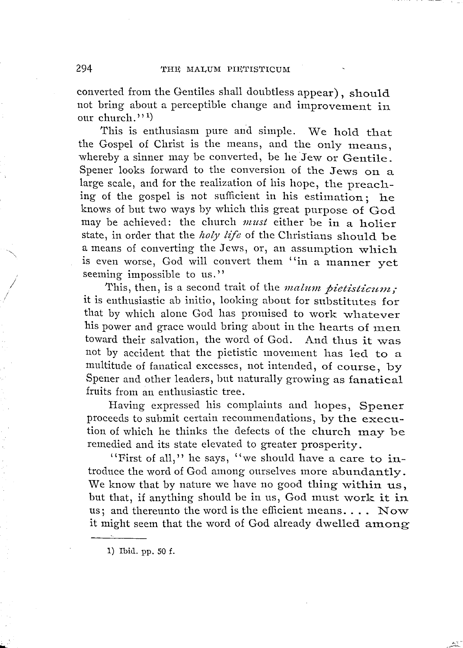converted from the Gentiles shall doubtless appear) , should not bring about a perceptible change and improvement in our church." $^{(1)}$ 

This is enthusiasm pure and simple. We hold that the Gospel of Christ is the means, and the only means, whereby a sinner may be converted, be he Jew or Gentile. Spener looks forward to the conversion of the Jews on a large scale, and for the realization of his hope, the preaching of the gospel is not sufficient in his estimation; he knows of but two ways by which this great purpose of God may be achieved: the church *must* either be in a holier state, in order that the *holy life* of the Christians should be a means of converting the Jews, or, an assumption which is even worse, God will convert them ''in a manner yet seeming impossible to us.''

This, then, is a second trait of the *malum pietisticum;* it is enthusiastic ab initio, looking about for substitutes for that by which alone God has promised to work whatever his power and grace would bring about in the hearts of men toward their salvation, the word of God. And thus it was not by accident that the pietistic movement has led to a multitude of fanatical excesses, not intended, of course, by Spener and other leaders, but naturally growing as fanatical fruits from an enthusiastic tree.

Having expressed his complaints and hopes, Spener proceeds to submit certain recommendations, by the execution of which he thinks the defects of the church may be remedied and its state elevated to greater prosperity.

''First of all,'' he says, ''we should have a care to introduce the word of God among ourselves more abundantly. We know that by nature we have no good thing within us, but that, if anything should be in us, God must work it in us; and thereunto the word is the efficient means.... Now it might seem that the word of God already dwelled among

> .<br>المراجع .<br>أيخلص

1) Ibid. pp. 50 £.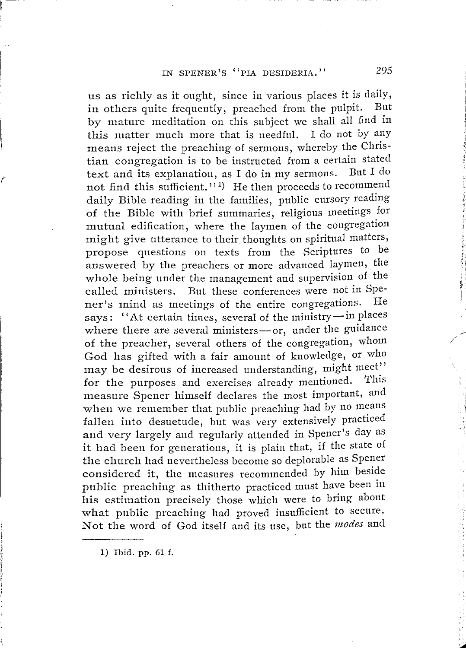us as richly as it ought, since in various places it is daily,<br>in others quite frequently, preached from the pulpit. But in others quite frequently, preached from the pulpit. by mature meditation on this subject we shall all find in this matter much more that is needful. I do not by any means reject the preaching of sermons, whereby the Christian congregation is to be instructed from a certain stated text and its explanation, as I do in my sermons. not find this sufficient."<sup>1</sup>) He then proceeds to recommend daily Bible reading in the families, public cursory reading of the Bible with brief summaries, religious meetings for mutual edification, where the laymen of the congregation might give utterance to their thoughts on spiritual matters, propose questions on texts from the Scriptures to be answered by the preachers or more advanced laymen, the whole being under the management and supervision of the called ministers. But these conferences were not in Spe-<br>ner's mind as meetings of the entire congregations. He ner's mind as meetings of the entire congregations. examed infinitely. But these conferences were not an ap-<br>ner's mind as meetings of the entire congregations. He<br>says: "At certain times, several of the ministry-in places ner's mind as meetings of the entire congregations. The<br>says: "At certain times, several of the ministry-in places<br>where there are several ministers-or, under the guidance where there are several ministers-or, under the guidance of the preacher, several others of the congregation, whom God has gifted with a fair amount of knowledge, or who may be desirous of increased understanding, might meet" for the purposes and exercises already mentioned. measure Spener himself declares the most important, and when we remember that public preaching had by no means fallen into desuetude, but was very extensively practiced and very largely and regularly attended in Spener's day as it had been for generations, it is plain that, if the state of the church had nevertheless become so deplorable as Spener considered it, the measures recommended by him beside public preaching as thitherto practiced must have been in his estimation precisely those which were to bring about what public preaching had proved insufficient to secure. Not the word of God itself and its use, but the *modes* and

1) Ibid. pp. 61 f.

*r*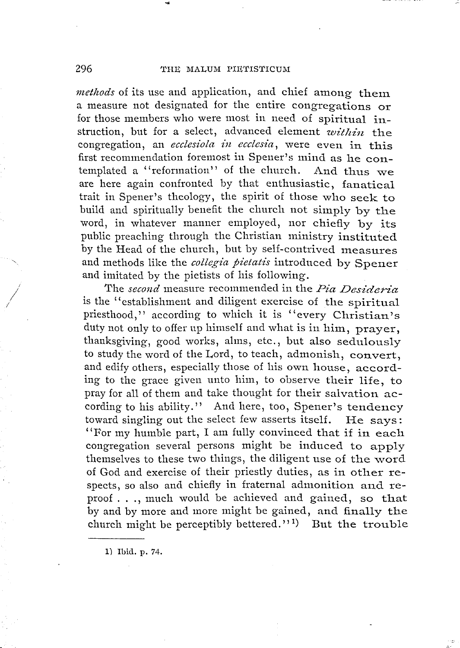#### 296 THE MALUM PIETISTICUM

..

*methods* of its use and application, and chief among them a measure not designated for the entire congregations or for those members who were most in need of spiritual instruction, but for a select, advanced element *within* the congregation, an *ecclesiola in ecclesia,* were even in this first recommendation foremost in Spener's mind as he contemplated a "reformation" of the church. And thus we are here again confronted by that enthusiastic, fanatical trait in Spener's theology, the spirit of those who seek to build and spiritually benefit the church not simply by the word, in whatever manner employed, nor chiefly by its public preaching through the Christian ministry instituted by the Head of the church, but by self-contrived measures and methods like the *collegia pietatis* introduced by Spener and imitated by the pietists of his following.

The *second* measure recommended in the *Pia Desideria* is the "establishment and diligent exercise of the spiritual priesthood," according to which it is "every Christian's duty not only to offer up himself and what is in him, prayer, thanksgiving, good works, alms, etc., but also sedulously to study the word of the Lord, to teach, admonish, convert, and edify others, especially those of his own house, according to the grace given unto him, to observe their life, to pray for all of them and take thought for their salvation according to his ability." And here, too, Spener's tendency toward singling out the select few asserts itself. He says: ''For my humble part, I am fully convinced that if in each congregation several persons might be induced to apply themselves to these two things, the diligent use of the word of God and exercise of their priestly duties, as in other respects, so also and chiefly in fraternal admonition and reproof ... , much would be achieved and gained, so that by and by more and more might be gained, and finally the church might be perceptibly bettered.'' <sup>1</sup> ) But the trouble

1) Ibid. p. 74.

*I* 

*/*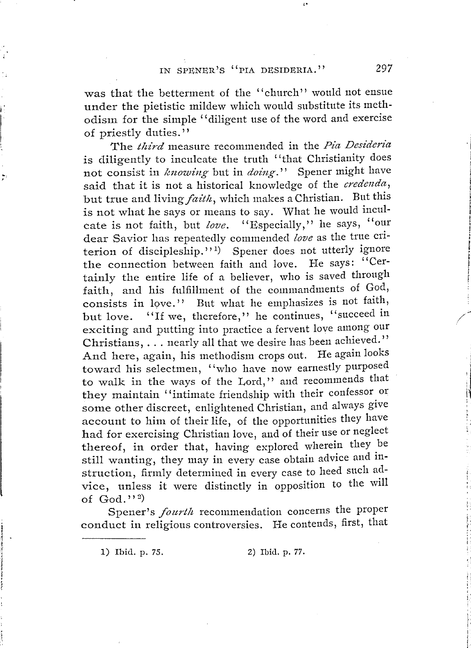W<br>
U<br>
October<br>
Of<br>
Of<br>
Of as that the betterment of the "church" would not ensue under the pietistic mildew which would substitute its meth-

odism for the simple "diligent use of the word and exercise<br>of priestly duties."<br>The *third* measure recommended in the *Pia Desideria*<br>is diligently to inculcate the truth "that Christianity does<br>not consist in *knowing* the connection between faith and love. He says: "Certainly the entire life of a believer, who is saved through<br>faith, and his fulfillment of the commandments of God,<br>consists in love.'' But what he emphasizes is not faith,<br>but love. "If we, therefore," he continues, "succe of  $\text{God.}$ "

od."<sup>2</sup>)<br>Spener's *fourth* recommendation concerns the proper conduct in religious controversies. He contends, first, that

1) Ibid. p. 75.

I

r

Z) I b i d. p. 77.

2 97

I l !

I ! p *i*  t

I f

 $\frac{1}{\sqrt{2}}$ 

;J fl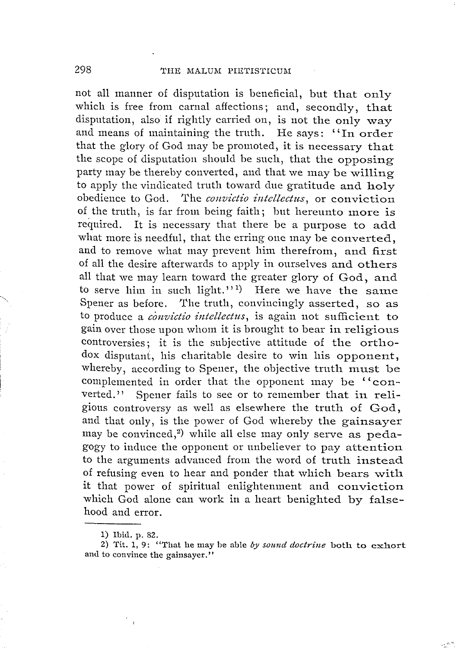not all manner of disputation is beneficial, but that only which is free from carnal affections; and, secondly, that disputation, also if rightly carried on, is not the only way and means of maintaining the truth. He says: "In order that the glory of God may be promoted, it is necessary that the scope of disputation should be such, that the opposing party may be thereby converted, and that we may be willing to apply the vindicated truth toward due gratitude and holy obedience to God. The *convictio intellectus,* or conviction of the truth, is far from being faith; but hereunto more is required. It is necessary that there be a purpose to add what more is needful, that the erring one may be converted, and to remove what may prevent him therefrom, and first of all the desire afterwards to apply in ourselves and others all that we may learn toward the greater glory of God, and to serve him in such light."<sup>1</sup>) Here we have the same Spener as before. The truth, convincingly asserted, so as to produce a *conoictio intellectus,* is again not sufficient to gain over those upon whom it is brought to bear in religious controversies; it is the subjective attitude of the orthodox disputant, his charitable desire to win his opponent, whereby, according to Spener, the objective truth must be complemented in order that the opponent may be "con-<br>verted." Spener fails to see or to remember that in reli-Spener fails to see or to remember that in religious controversy as well as elsewhere the truth of God, and that only, is the power of God whereby the gainsayer may be convinced, 2 ) while all else may only serve as pedagogy to induce the opponent or unbeliever to pay attention to the arguments advanced from the word of truth instead of refusing even to hear and ponder that which bears with it that power of spiritual enlightenment and conviction which God alone can work in a heart benighted by falsehood and error.

<sup>1)</sup> Ibid. p. 82.

<sup>2)</sup> Tit. 1, 9: "That he may be able *by sound doctrine* both to exhort and to convince the gainsayer."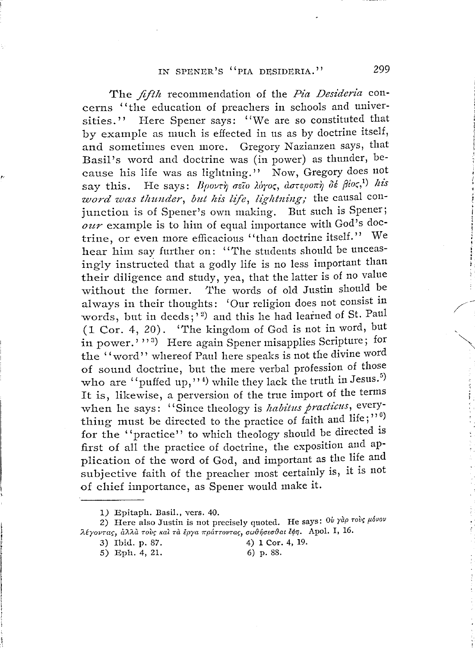The *fifth* recommendation of the *Pia Desideria* concerns '' the education of preachers in schools and universities.'' Here Spener says: "We are so constituted that by example as much is effected in us as by doctrine itself, and sometimes even more. Gregory Nazianzen says, that Basil's word and doctrine was (in power) as thunder, because his life was as lightning." Now, Gregory does not say this. He says: Βροντή σεΐο λόγος, αστεροπή δέ βίος,<sup>1)</sup> his *word was thunder, but his life, lightning;* the causal conjunction is of Spener's own making. But such is Spener; *our* example is to him of equal importance with God's doctrine, or even more efficacious ''than doctrine itself.'' We hear him say further on: ''The students should be unceasingly instructed that a godly life is no less important than their diligence and study, yea, that the latter is of no value without the former. The words of old Justin should be always in their thoughts: 'Our religion does not consist in words, but in deeds;<sup>'2</sup>) and this he had learned of St. Paul (1 Cor. 4, 20). ''I'he kingdom of God is not in word, but in power.''<sup>3</sup>) Here again Spener misapplies Scripture; for the ''word'' whereof Paul here speaks is not the divine word of sound doctrine, but the mere verbal profession of those who are "puffed up,"<sup>4)</sup> while they lack the truth in Jesus.<sup>5)</sup> It is, likewise, a perversion of the true import of the terms when he says: "Since theology is *habitus practicus*, everything must be directed to the practice of faith and life;" $\binom{6}{1}$ for the "practice" to which theology should be directed is first of all the practice of doctrine, the exposition and application of the word of God, and important as the life and subjective faith of the preacher most certainly is, it is not of chief importance, as Spener would make it.

5) Eph. 4, 21.

<sup>1)</sup> Epitaph. Basil., vers. 40.

<sup>2)</sup> Here also Justin is not precisely quoted. He says:  $0v \gamma \partial \rho \tau \partial \nu \gamma \partial \rho \nu \partial \nu$  $\lambda$ έγοντας, αλλά τους και τα έργα πράττοντας, σωθήσεσθαι έφη. Apol. I, 16.

<sup>3)</sup> Ibid. p. 87. <br>5) Eph. 4, 21. <br>6) p. 88.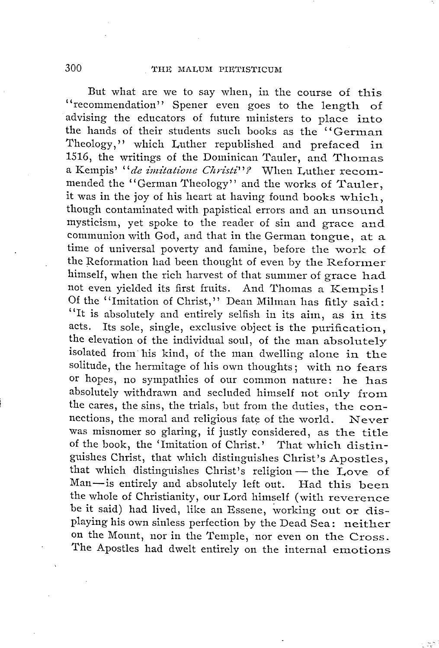But what are we to say when, in the course of this ''recommendation'' Spener even goes to the length of advising the educators of future ministers to place into the hands of their students such books as the "German" Theology,'' which Luther republished and prefaced in 1516, the writings of the Dominican Tauler, and Thomas a Kempis' "de imitatione Christi"? When Luther recommended the "German Theology" and the works of Tauler, it was in the joy of his heart at having found books which, though contaminated with papistical errors and an unsound mysticism, yet spoke to the reader of sin and grace and communion with God, and that in the German tongue, at a time of universal poverty and famine, before the work of the Reformation had been thought of even by the Reformer himself, when the rich harvest of that summer of grace had not even yielded its first fruits. And Thomas a Kempis! Of the "Imitation of Christ," Dean Milman has fitly said: "It is absolutely and entirely selfish in its aim, as in its acts. Its sole, single, exclusive object is the purification, the elevation of the individual soul, of the man absolutely isolated from his kind, of the man dwelling alone in the solitude, the hermitage of his own thoughts; with no fears or hopes, no sympathies of our common nature: he has absolutely withdrawn and secluded himself not only from the cares, the sins, the trials, but from the duties, the connections, the moral and religious fate of the world. Never was misnomer so glaring, if justly considered, as the title of the book, the 'Imitation of Christ.' That which distinguishes Christ, that which distinguishes Christ's Apostles, that which distinguishes Christ's Apostles,<br>that which distinguishes Christ's religion — the Love of<br>Man is outing and shall that if the XX at the Cove guisnes Cinist, that which distinguishes Cinist's Apostles,<br>that which distinguishes Christ's religion — the Love of<br>Man—is entirely and absolutely left out. Had this been<br>the whole of Christianity, our Lead binarif (e.i.l Man-is entirely and absolutely left out. Had this been the whole of Christianity, our Lord himself (with reverence be it said) had lived, like an Essene, working out or displaying his own sinless perfection by the Dead Sea: neither on the Mount, nor in the Temple, nor even on the Cross. The Apostles had dwelt entirely on the internal emotions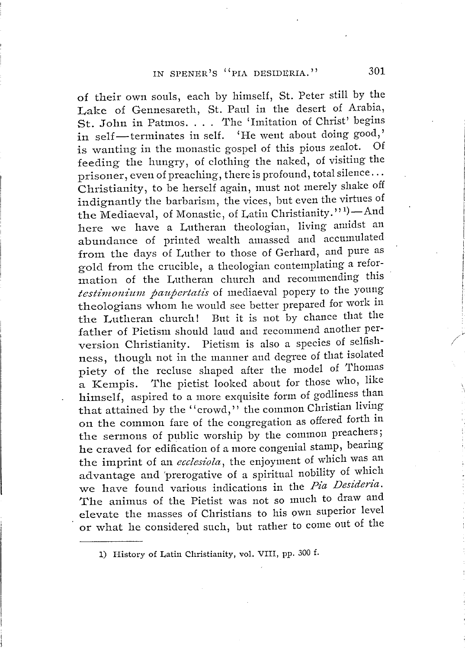of their own souls, each by himself, St. Peter still by the Lake of Gennesareth, St. Paul in the desert of Arabia, St. John in Patmos... The 'Imitation of Christ' begins St. John in Patmos. . . . The 'Imitation of Christ' begins<br>in self-terminates in self. 'He went about doing good,'<br>is wenting in the monestic gospel of this pious zealot. Of is wanting in the monastic gospel of this pious zealot. feeding the hungry, of clothing the naked, of visiting the prisoner, even of preaching, there is profound, total silence ... Christianity, to be herself again, must not merely shake off indignantly the barbarism, the vices, but even the virtues of the Mediaeval, of Monastic, of Latin Christianity.''<sup>1</sup>)-And here we have a Lutheran theologian, living amidst an abundance of printed wealth amassed and accumulated from the days of Luther to those of Gerhard, and pure as gold from the crucible, a theologian contemplating a reformation of the Lutheran church and recommending this testimonium paupertatis of mediaeval popery to the young theologians whom he would see better prepared for work in the Lutheran church! But it is not by chance that the father of Pietism should laud and recommend another perversion Christianity. Pietism is also a species of selfishness, though not in the manner and degree of that isolated piety of the recluse shaped after the model of Thomas a Kempis. The pietist looked about for those who, like himself, aspired to a more exquisite form of godliness than that attained by the ''crowd,'' the common Christian living on the common fare of the congregation as offered forth in the sermons of public worship by the common preachers; he craved for edification of a more congenial stamp, bearing the imprint of an *ecclesiola*, the enjoyment of which was an advantage and 'prerogative of a spiritual nobility of which we have found various indications in the *Pia Desideria.*  The animus of the Pietist was not so much to draw and elevate the masses of Christians to his own superior level or what he considered such, but rather to come out of the

1) History of Latin Christianity, vol. VIII, pp. 300 f.